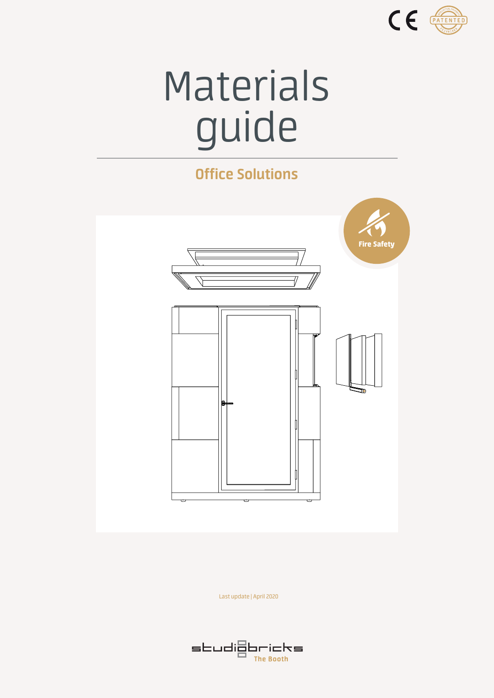

# Materials guide

### **Office Solutions**



Last update | April 2020

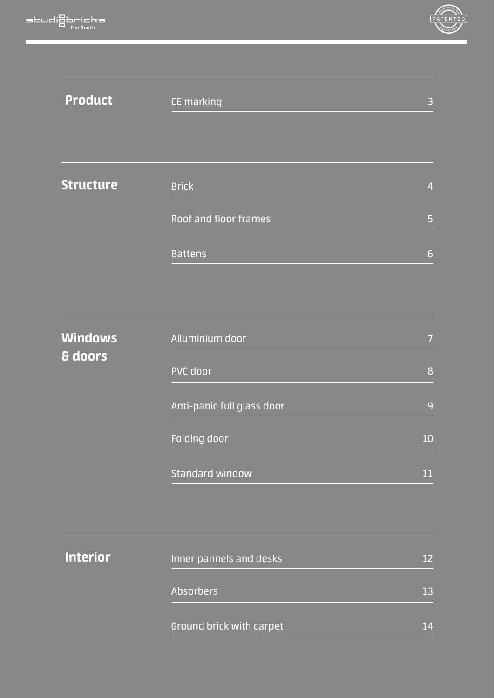

| <b>Product</b>            | CE marking:                  | 3              |
|---------------------------|------------------------------|----------------|
|                           |                              |                |
| <b>Structure</b>          | <b>Brick</b>                 | $\overline{4}$ |
|                           | <b>Roof and floor frames</b> | 5              |
|                           | <b>Battens</b>               | $\overline{6}$ |
|                           |                              |                |
| <b>Windows</b><br>& doors | Alluminium door              | $\overline{7}$ |
|                           | PVC door                     | 8              |
|                           | Anti-panic full glass door   | 9              |
|                           | Folding door                 | 10             |
|                           | <b>Standard window</b>       | 11             |
|                           |                              |                |
| <b>Interior</b>           | Inner pannels and desks      | 12             |
|                           | <b>Absorbers</b>             | 13             |
|                           | Ground brick with carpet     | 14             |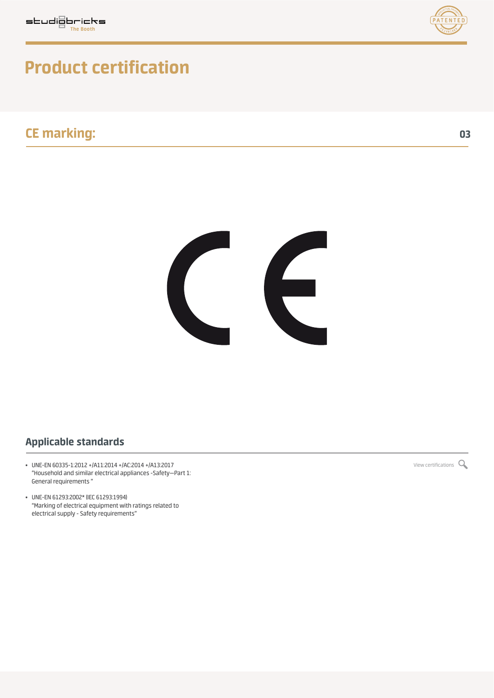



# **Product certification**

### **CE marking: 03**



### **Applicable standards**

- UNE-EN 60335-1:2012 +/A11:2014 +/AC:2014 +/A13:2017 [View certifications](https://studiobricksofficesolutions.com/wp-content/uploads/2020/04/Applus-2036400148_STUDIOBRICKS_CABIN_signed.pdf)  $Q$ "Household and similar electrical appliances -Safety—Part 1: General requirements "
- UNE-EN 61293:2002\* (IEC 61293:1994) "Marking of electrical equipment with ratings related to electrical supply - Safety requirements"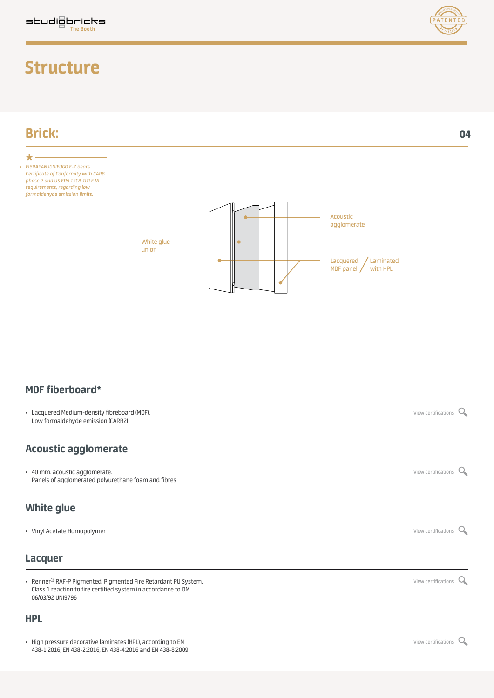### **Structure**

**Brick:**

 $\star$ 



**04**



**MDF fiberboard\***

• Lacquered Medium-density fibreboard (MDF). Low formaldehyde emission (CARB2)

### **Acoustic agglomerate**

• 40 mm. acoustic agglomerate.  $\alpha$ Panels of agglomerated polyurethane foam and fibres

### **White glue**

• Vinyl Acetate Homopolymer  $\Omega$ 

### **Lacquer**

• Renner® RAF-P Pigmented. Pigmented Fire Retardant PU System. Class 1 reaction to fire certified system in accordance to DM 06/03/92 UNI9796

#### **HPL**

• High pressure decorative laminates (HPL), according to EN  $\sim$ 438-1:2016, EN 438-2:2016, EN 438-4:2016 and EN 438-8:2009

[View certifications](https://studiobricksofficesolutions.com/wp-content/uploads/2020/04/mdf-CARB2-cert.pdf) Q

[View certifications](https://studiobricksofficesolutions.com/wp-content/uploads/2019/06/renner-cert.pdf) Q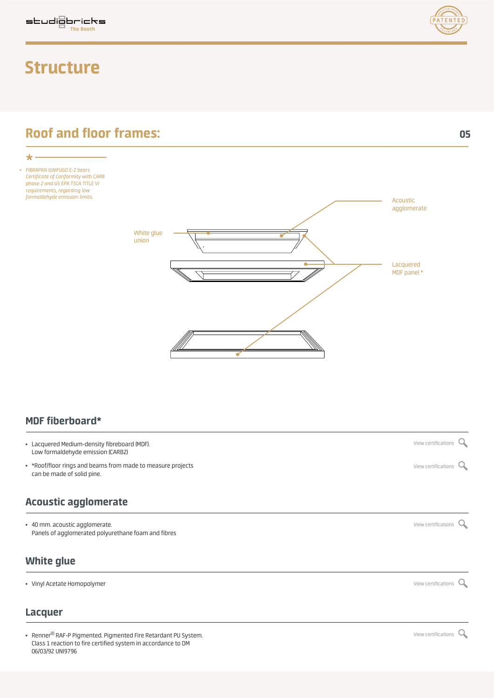### **Structure**



*• FIBRAPAN IGNIFUGO E-Z bears Certificate of Conformity with CARB phase 2 and US EPA TSCA TITLE VI requirements, regarding low formaldehyde emission limits.*

 $\star$ 



### **MDF fiberboard\***

- Lacquered Medium-density fibreboard (MDF). Low formaldehyde emission (CARB2)
- \*Roof/floor rings and beams from made to measure projects can be made of solid pine.

### **Acoustic agglomerate**

• 40 mm. acoustic agglomerate.  $\sim$ Panels of agglomerated polyurethane foam and fibres

### **White glue**

• Vinyl Acetate Homopolymer  $\alpha$ 

### **Lacquer**

• Renner® RAF-P Pigmented. Pigmented Fire Retardant PU System. Class 1 reaction to fire certified system in accordance to DM 06/03/92 UNI9796



[View certifications](https://studiobricksofficesolutions.com/wp-content/uploads/2019/06/soldevila-cert.pdf)  $\mathsf{Q}$ 

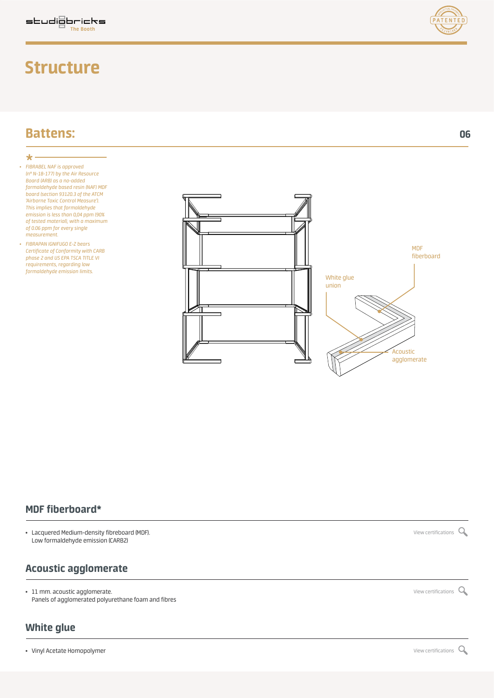### **Structure**

*• FIBRAPAN IGNIFUGO E-Z bears Certificate of Conformity with CARB phase 2 and US EPA TSCA TITLE VI requirements, regarding low formaldehyde emission limits.*

*• FIBRABEL NAF is approved (n° N-18-177) by the Air Resource Board (ARB) as a no-added formaldehyde based resin (NAF) MDF board (section 93120.3 of the ATCM 'Airborne Toxic Control Measure'). This implies that formaldehyde emission is less than 0,04 ppm (90% of tested material), with a maximum of 0.06 ppm for every single measurement.*

**Battens:**

 $\star$ 

### **MDF fiberboard\***

• Lacquered Medium-density fibreboard (MDF). We would be a state of the state of the [View certifications](https://studiobricksofficesolutions.com/wp-content/uploads/2020/04/mdf-CARB2-cert.pdf) of View certifications of View certifications of View certifications of View certifications of View certifications of Low formaldehyde emission (CARB2)

### **Acoustic agglomerate**

• 11 mm. acoustic agglomerate.  $\alpha$ Panels of agglomerated polyurethane foam and fibres

### **White glue**

• Vinyl Acetate Homopolymer  $\alpha$ 





**06**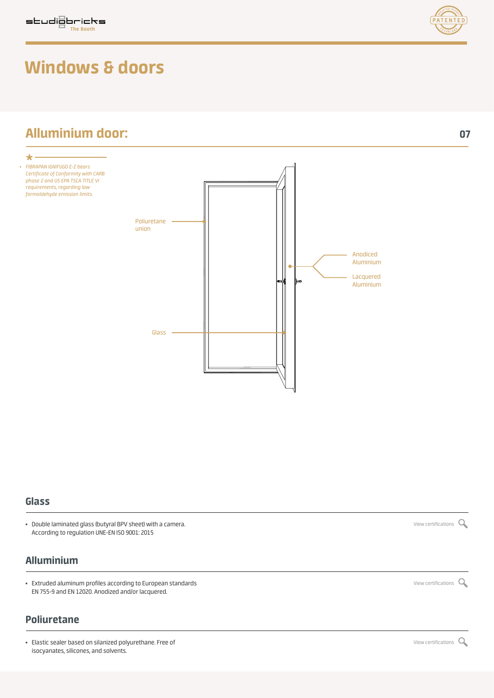### **Alluminium door: 07**



#### **Glass**

• Double laminated glass (butyral BPV sheet) with a camera.  $\sim$   $\blacksquare$ According to regulation UNE-EN ISO 9001: 2015

### **Alluminium**

• Extruded aluminum profiles according to European standards  $\alpha$  and  $\alpha$  and  $\alpha$  are  $\alpha$  is the view certifications  $\alpha$ EN 755-9 and EN 12020. Anodized and/or lacquered.

### **Poliuretane**

• Elastic sealer based on silanized polyurethane. Free of  $\sim$  [View certifications](https://studiobricksofficesolutions.com/wp-content/uploads/2019/06/selladorpolimero-cert.pdf)  $\sim$ isocyanates, silicones, and solvents.

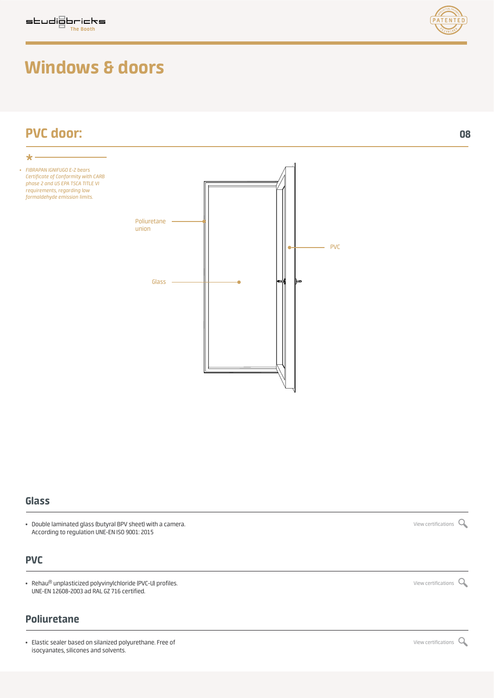

#### **Glass**

• Double laminated glass (butyral BPV sheet) with a camera.  $\sim$ According to regulation UNE-EN ISO 9001: 2015

### **PVC**

• Rehau<sup>®</sup> unplasticized polyvinylchloride (PVC-U) profiles.  $\sim$  and the state of the state of the state of the view certifications  $\sim$  view certifications  $\sim$ UNE-EN 12608-2003 ad RAL GZ 716 certified.

### **Poliuretane**

• Elastic sealer based on silanized polyurethane. Free of  $\sim$  [View certifications](https://studiobricksofficesolutions.com/wp-content/uploads/2019/06/selladorpolimero-cert.pdf)  $\sim$ isocyanates, silicones and solvents.



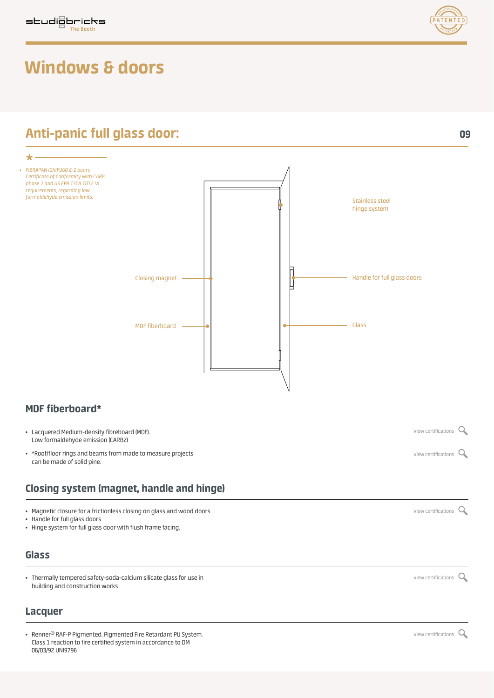

### **Anti-panic full glass door: 09**



### **MDF fiberboard\***

- Lacquered Medium-density fibreboard (MDF). Low formaldehyde emission (CARB2)
- \*Roof/floor rings and beams from made to measure projects can be made of solid pine.

### **Closing system (magnet, handle and hinge)**

• Magnetic closure for a frictionless closing on glass and wood doors  $\sim$ 

- Handle for full glass doors
- Hinge system for full glass door with flush frame facing.

#### **Glass**

• Thermally tempered safety-soda-calcium silicate glass for use in  $\alpha$ building and construction works

### **Lacquer**

• Renner® RAF-P Pigmented. Pigmented Fire Retardant PU System. Class 1 reaction to fire certified system in accordance to DM 06/03/92 UNI9796

[View certifications](https://studiobricksofficesolutions.com/wp-content/uploads/2020/04/mdf-CARB2-cert.pdf) Q

[View certifications](https://studiobricksofficesolutions.com/wp-content/uploads/2019/06/soldevila-cert.pdf) Q

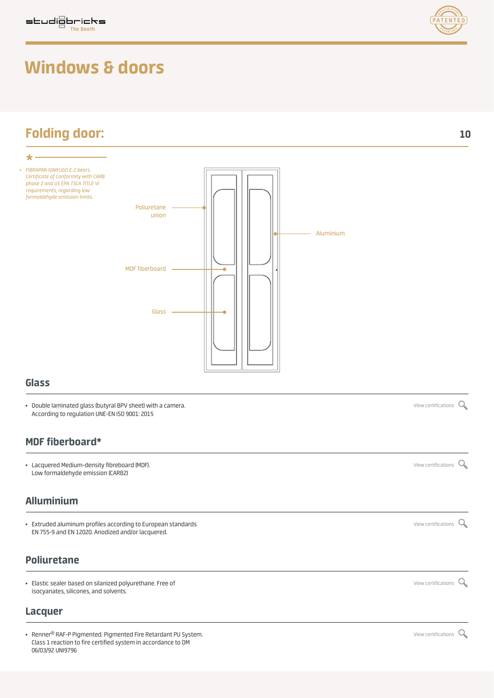

#### **Glass**

• Double laminated glass (butyral BPV sheet) with a camera.  $\sim$ According to regulation UNE-EN ISO 9001: 2015

### **MDF fiberboard\***

• Lacquered Medium-density fibreboard (MDF). *[View certifications](https://studiobricksofficesolutions.com/wp-content/uploads/2020/04/mdf-CARB2-cert.pdf) Q* Low formaldehyde emission (CARB2)

### **Alluminium**

• Extruded aluminum profiles according to European standards  $\sim$ EN 755-9 and EN 12020. Anodized and/or lacquered.

### **Poliuretane**

• Elastic sealer based on silanized polyurethane. Free of  $\sim$  [View certifications](https://studiobricksofficesolutions.com/wp-content/uploads/2019/06/selladorpolimero-cert.pdf)  $\sim$ isocyanates, silicones, and solvents.

#### **Lacquer**

• Renner® RAF-P Pigmented. Pigmented Fire Retardant PU System. Class 1 reaction to fire certified system in accordance to DM 06/03/92 UNI9796

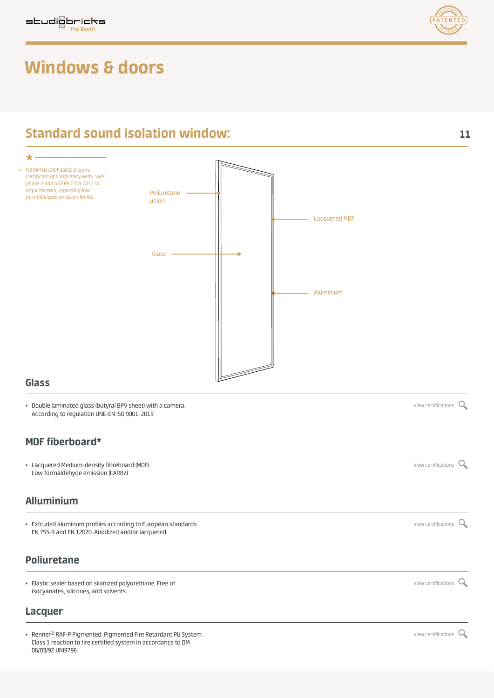



### **Standard sound isolation window: 11**



### **Glass**

• Double laminated glass (butyral BPV sheet) with a camera. [View certifications](https://studiobricksofficesolutions.com/wp-content/uploads/2019/06/grupoNavas-cert.pdf) According to regulation UNE-EN ISO 9001: 2015

### **MDF fiberboard\***

• Lacquered Medium-density fibreboard (MDF).  $\sim$  2007) Wew certifications  $\sim$  [View certifications](https://studiobricksofficesolutions.com/wp-content/uploads/2020/04/mdf-CARB2-cert.pdf)  $\sim$ Low formaldehyde emission (CARB2)

### **Alluminium**

• Extruded aluminum profiles according to European standards  $\sim$ EN 755-9 and EN 12020. Anodized and/or lacquered.

### **Poliuretane**

• Elastic sealer based on silanized polyurethane. Free of  $\sim$ isocyanates, silicones, and solvents.

#### **Lacquer**

• Renner® RAF-P Pigmented. Pigmented Fire Retardant PU System. Class 1 reaction to fire certified system in accordance to DM 06/03/92 UNI9796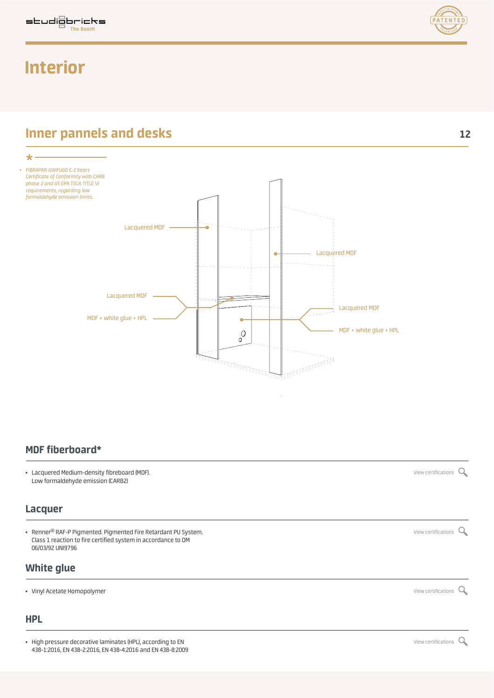### **Interior**



**Inner pannels and desks** 12



### **MDF fiberboard\***

• Lacquered Medium-density fibreboard (MDF). [View certifications](https://studiobricksofficesolutions.com/wp-content/uploads/2020/04/mdf-CARB2-cert.pdf) Low formaldehyde emission (CARB2)

### **Lacquer**

• Renner® RAF-P Pigmented. Pigmented Fire Retardant PU System. Class 1 reaction to fire certified system in accordance to DM 06/03/92 UNI9796

### **White glue**

• Vinyl Acetate Homopolymer  $\sim$ 

### **HPL**

• High pressure decorative laminates (HPL), according to EN  $\sim$ 438-1:2016, EN 438-2:2016, EN 438-4:2016 and EN 438-8:2009

[View certifications](https://studiobricksofficesolutions.com/wp-content/uploads/2019/06/renner-cert.pdf) Q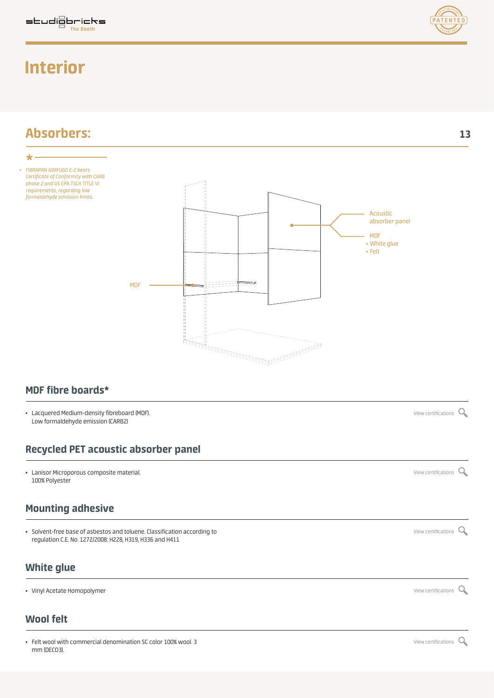### **Interior**



### **MDF fibre boards\***

• Lacquered Medium-density fibreboard (MDF). *[View certifications](https://studiobricksofficesolutions.com/wp-content/uploads/2020/04/mdf-CARB2-cert.pdf)* Q Low formaldehyde emission (CARB2)

### **Recycled PET acoustic absorber panel**

• Lanisor Microporous composite material. [View certifications](https://studiobricksofficesolutions.com/wp-content/uploads/2019/06/lanisor-cert.pdf) 100% Polyester

### **Mounting adhesive**

• Solvent-free base of asbestos and toluene. Classification according to  $\sim$ regulation C.E. No. 1272/2008: H228, H319, H336 and H411

### **White glue**

• Vinyl Acetate Homopolymer  $\alpha$ 

### **Wool felt**

• Felt wool with commercial denomination SC color 100% wool. 3 [View certifications](https://studiobricksofficesolutions.com/wp-content/uploads/2019/09/felt-sept19-cert.pdf)  $\alpha$ mm (DECO3).

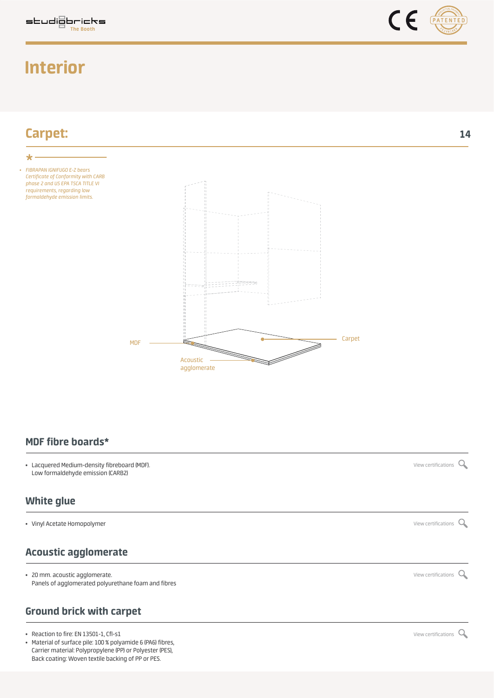# **Interior**





### **MDF fibre boards\***

• Lacquered Medium-density fibreboard (MDF). We would be a state of the state of the [View certifications](https://studiobricksofficesolutions.com/wp-content/uploads/2019/09/EN-FINSA-MDF-IGNIFUGO-CON-CLASIFICACION-11062019.pdf) of the View certifications of the View certifications of the View certifications of the View certifications of the Vi Low formaldehyde emission (CARB2)

### **White glue**

• Vinyl Acetate Homopolymer  $\sim$ 

### **Acoustic agglomerate**

• 20 mm. acoustic agglomerate. [View certifications](https://studiobricksofficesolutions.com/wp-content/uploads/2019/06/acoustic-agglomerate-cert.pdf) Panels of agglomerated polyurethane foam and fibres

### **Ground brick with carpet**

- Reaction to fire: EN 13501-1, Cfl-s1  $\sim$
- Material of surface pile: 100 % polyamide 6 (PA6) fibres, Carrier material: Polypropylene (PP) or Polyester (PES), Back coating: Woven textile backing of PP or PES.